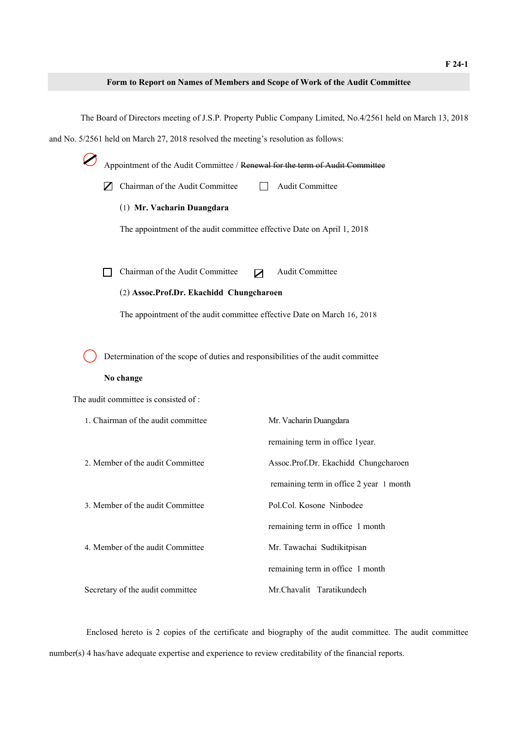## **Form to Report on Names of Members and Scope of Work of the Audit Committee**

The Board of Directors meeting of J.S.P. Property Public Company Limited, No.4/2561 held on March 13, 2018 and No. 5/2561 held on March 27, 2018 resolved the meeting's resolution as follows: Appointment of the Audit Committee / Renewal for the term of Audit Committee  $\nabla$  Chairman of the Audit Committee  $\Box$  Audit Committee (1) **Mr. Vacharin Duangdara** The appointment of the audit committee effective Date on April 1, 2018  $\Box$  Chairman of the Audit Committee  $\Box$  Audit Committee (2) **Assoc.Prof.Dr. Ekachidd Chungcharoen** The appointment of the audit committee effective Date on March 16, 2018 Determination of the scope of duties and responsibilities of the audit committee **No change** The audit committee is consisted of : 1. Chairman of the audit committee Mr. Vacharin Duangdara remaining term in office 1year. 2. Member of the audit Committee Assoc.Prof.Dr. Ekachidd Chungcharoen remaining term in office 2 year 1 month 3. Member of the audit Committee Pol.Col. Kosone Ninbodee remaining term in office 1 month 4. Member of the audit Committee Mr. Tawachai Sudtikitpisan remaining term in office 1 month Secretary of the audit committee Mr.Chavalit Taratikundech

Enclosed hereto is 2 copies of the certificate and biography of the audit committee. The audit committee number(s) 4 has/have adequate expertise and experience to review creditability of the financial reports.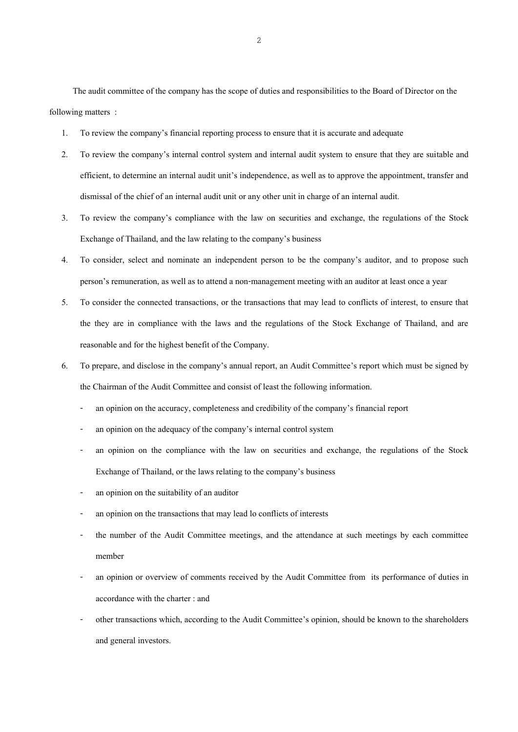The audit committee of the company has the scope of duties and responsibilities to the Board of Director on the following matters :

- 1. To review the company's financial reporting process to ensure that it is accurate and adequate
- 2. To review the company's internal control system and internal audit system to ensure that they are suitable and efficient, to determine an internal audit unit's independence, as well as to approve the appointment, transfer and dismissal of the chief of an internal audit unit or any other unit in charge of an internal audit.
- 3. To review the company's compliance with the law on securities and exchange, the regulations of the Stock Exchange of Thailand, and the law relating to the company's business
- 4. To consider, select and nominate an independent person to be the company's auditor, and to propose such person's remuneration, as well as to attend a non-management meeting with an auditor at least once a year
- 5. To consider the connected transactions, or the transactions that may lead to conflicts of interest, to ensure that the they are in compliance with the laws and the regulations of the Stock Exchange of Thailand, and are reasonable and for the highest benefit of the Company.
- 6. To prepare, and disclose in the company's annual report, an Audit Committee's report which must be signed by the Chairman of the Audit Committee and consist of least the following information.
	- an opinion on the accuracy, completeness and credibility of the company's financial report
	- an opinion on the adequacy of the company's internal control system
	- an opinion on the compliance with the law on securities and exchange, the regulations of the Stock Exchange of Thailand, or the laws relating to the company's business
	- an opinion on the suitability of an auditor
	- an opinion on the transactions that may lead lo conflicts of interests
	- the number of the Audit Committee meetings, and the attendance at such meetings by each committee member
	- an opinion or overview of comments received by the Audit Committee from its performance of duties in accordance with the charter : and
	- other transactions which, according to the Audit Committee's opinion, should be known to the shareholders and general investors.